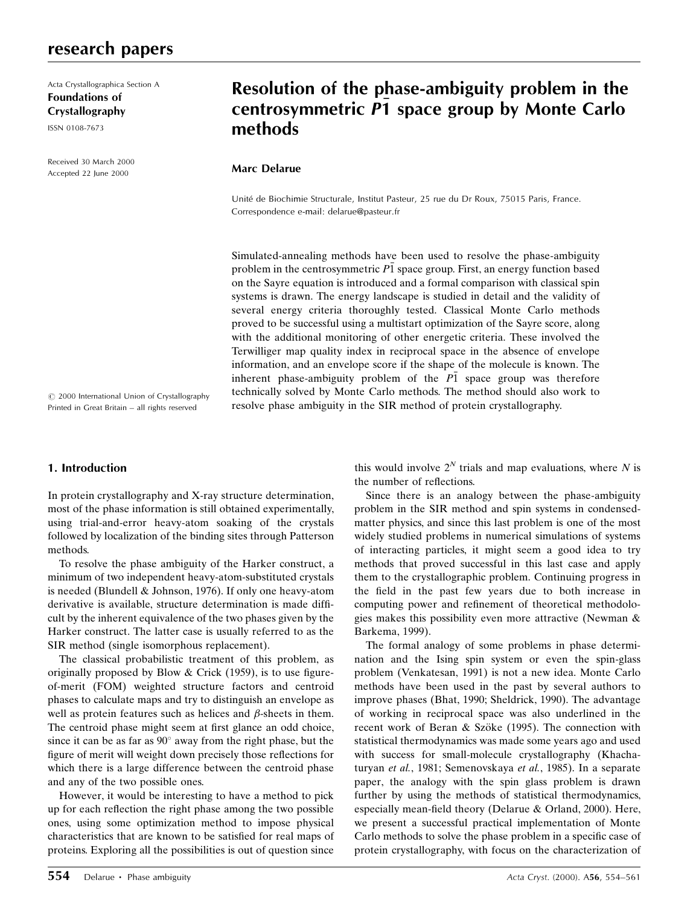## research papers

Acta Crystallographica Section A Foundations of Crystallography

ISSN 0108-7673

Received 30 March 2000 Accepted 22 June 2000

# Resolution of the phase-ambiguity problem in the centrosymmetric P1 space group by Monte Carlo methods

## Marc Delarue

Unité de Biochimie Structurale, Institut Pasteur, 25 rue du Dr Roux, 75015 Paris, France. Correspondence e-mail: delarue@pasteur.fr

Simulated-annealing methods have been used to resolve the phase-ambiguity problem in the centrosymmetric  $P\bar{1}$  space group. First, an energy function based on the Sayre equation is introduced and a formal comparison with classical spin systems is drawn. The energy landscape is studied in detail and the validity of several energy criteria thoroughly tested. Classical Monte Carlo methods proved to be successful using a multistart optimization of the Sayre score, along with the additional monitoring of other energetic criteria. These involved the Terwilliger map quality index in reciprocal space in the absence of envelope information, and an envelope score if the shape of the molecule is known. The inherent phase-ambiguity problem of the  $P\bar{1}$  space group was therefore technically solved by Monte Carlo methods. The method should also work to resolve phase ambiguity in the SIR method of protein crystallography.

 $\circ$  2000 International Union of Crystallography Printed in Great Britain - all rights reserved

## 1. Introduction

In protein crystallography and X-ray structure determination, most of the phase information is still obtained experimentally, using trial-and-error heavy-atom soaking of the crystals followed by localization of the binding sites through Patterson methods.

To resolve the phase ambiguity of the Harker construct, a minimum of two independent heavy-atom-substituted crystals is needed (Blundell & Johnson, 1976). If only one heavy-atom derivative is available, structure determination is made difficult by the inherent equivalence of the two phases given by the Harker construct. The latter case is usually referred to as the SIR method (single isomorphous replacement).

The classical probabilistic treatment of this problem, as originally proposed by Blow & Crick (1959), is to use figureof-merit (FOM) weighted structure factors and centroid phases to calculate maps and try to distinguish an envelope as well as protein features such as helices and  $\beta$ -sheets in them. The centroid phase might seem at first glance an odd choice, since it can be as far as  $90^\circ$  away from the right phase, but the figure of merit will weight down precisely those reflections for which there is a large difference between the centroid phase and any of the two possible ones.

However, it would be interesting to have a method to pick up for each reflection the right phase among the two possible ones, using some optimization method to impose physical characteristics that are known to be satisfied for real maps of proteins. Exploring all the possibilities is out of question since this would involve  $2^N$  trials and map evaluations, where N is the number of reflections.

Since there is an analogy between the phase-ambiguity problem in the SIR method and spin systems in condensedmatter physics, and since this last problem is one of the most widely studied problems in numerical simulations of systems of interacting particles, it might seem a good idea to try methods that proved successful in this last case and apply them to the crystallographic problem. Continuing progress in the field in the past few years due to both increase in computing power and refinement of theoretical methodologies makes this possibility even more attractive (Newman & Barkema, 1999).

The formal analogy of some problems in phase determination and the Ising spin system or even the spin-glass problem (Venkatesan, 1991) is not a new idea. Monte Carlo methods have been used in the past by several authors to improve phases (Bhat, 1990; Sheldrick, 1990). The advantage of working in reciprocal space was also underlined in the recent work of Beran  $&$  Szöke (1995). The connection with statistical thermodynamics was made some years ago and used with success for small-molecule crystallography (Khachaturyan et al., 1981; Semenovskaya et al., 1985). In a separate paper, the analogy with the spin glass problem is drawn further by using the methods of statistical thermodynamics, especially mean-field theory (Delarue & Orland, 2000). Here, we present a successful practical implementation of Monte Carlo methods to solve the phase problem in a specific case of protein crystallography, with focus on the characterization of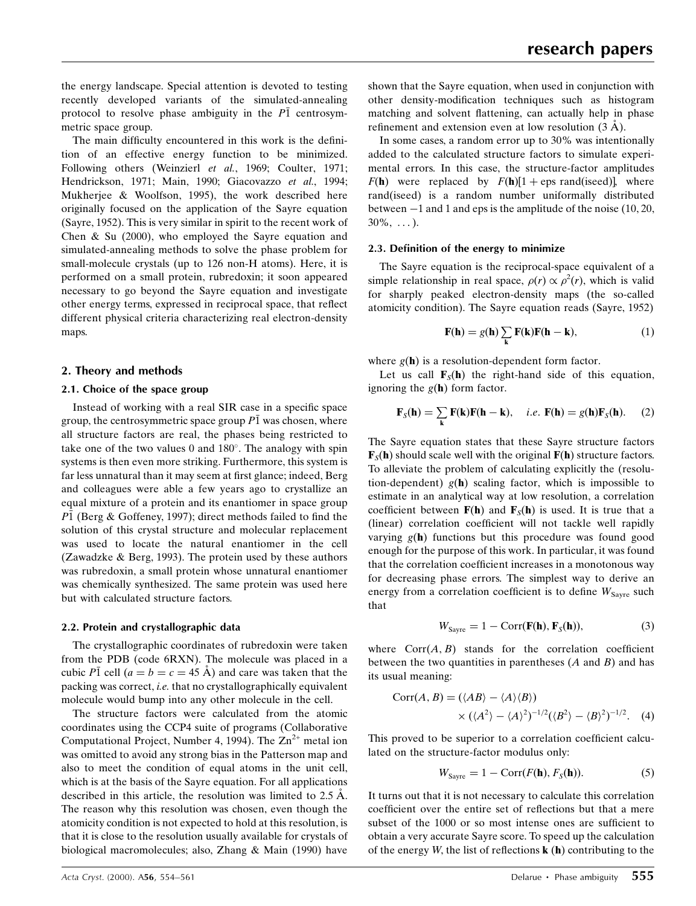the energy landscape. Special attention is devoted to testing recently developed variants of the simulated-annealing protocol to resolve phase ambiguity in the  $P\bar{1}$  centrosymmetric space group.

The main difficulty encountered in this work is the definition of an effective energy function to be minimized. Following others (Weinzierl et al., 1969; Coulter, 1971; Hendrickson, 1971; Main, 1990; Giacovazzo et al., 1994; Mukherjee & Woolfson, 1995), the work described here originally focused on the application of the Sayre equation (Sayre, 1952). This is very similar in spirit to the recent work of Chen & Su (2000), who employed the Sayre equation and simulated-annealing methods to solve the phase problem for small-molecule crystals (up to 126 non-H atoms). Here, it is performed on a small protein, rubredoxin; it soon appeared necessary to go beyond the Sayre equation and investigate other energy terms, expressed in reciprocal space, that reflect different physical criteria characterizing real electron-density maps.

#### 2. Theory and methods

#### 2.1. Choice of the space group

Instead of working with a real SIR case in a specific space group, the centrosymmetric space group  $P\overline{1}$  was chosen, where all structure factors are real, the phases being restricted to take one of the two values  $0$  and  $180^\circ$ . The analogy with spin systems is then even more striking. Furthermore, this system is far less unnatural than it may seem at first glance; indeed, Berg and colleagues were able a few years ago to crystallize an equal mixture of a protein and its enantiomer in space group  $P\bar{1}$  (Berg & Goffeney, 1997); direct methods failed to find the solution of this crystal structure and molecular replacement was used to locate the natural enantiomer in the cell (Zawadzke & Berg, 1993). The protein used by these authors was rubredoxin, a small protein whose unnatural enantiomer was chemically synthesized. The same protein was used here but with calculated structure factors.

#### 2.2. Protein and crystallographic data

The crystallographic coordinates of rubredoxin were taken from the PDB (code 6RXN). The molecule was placed in a cubic P1 cell ( $a = b = c = 45$  Å) and care was taken that the packing was correct, i.e. that no crystallographically equivalent molecule would bump into any other molecule in the cell.

The structure factors were calculated from the atomic coordinates using the CCP4 suite of programs (Collaborative Computational Project, Number 4, 1994). The  $\text{Zn}^{2+}$  metal ion was omitted to avoid any strong bias in the Patterson map and also to meet the condition of equal atoms in the unit cell, which is at the basis of the Sayre equation. For all applications described in this article, the resolution was limited to  $2.5 \text{ Å}$ . The reason why this resolution was chosen, even though the atomicity condition is not expected to hold at this resolution, is that it is close to the resolution usually available for crystals of biological macromolecules; also, Zhang & Main (1990) have

shown that the Sayre equation, when used in conjunction with other density-modification techniques such as histogram matching and solvent flattening, can actually help in phase refinement and extension even at low resolution  $(3 \text{ Å})$ .

In some cases, a random error up to 30% was intentionally added to the calculated structure factors to simulate experimental errors. In this case, the structure-factor amplitudes  $F(\mathbf{h})$  were replaced by  $F(\mathbf{h})[1 + \text{eps rand}(\text{seed})]$ , where rand(iseed) is a random number uniformally distributed between  $-1$  and 1 and eps is the amplitude of the noise (10, 20,  $30\%, \ldots$ ).

#### 2.3. Definition of the energy to minimize

The Sayre equation is the reciprocal-space equivalent of a simple relationship in real space,  $\rho(r) \propto \rho^2(r)$ , which is valid for sharply peaked electron-density maps (the so-called atomicity condition). The Sayre equation reads (Sayre, 1952)

$$
\mathbf{F}(\mathbf{h}) = g(\mathbf{h}) \sum_{\mathbf{k}} \mathbf{F}(\mathbf{k}) \mathbf{F}(\mathbf{h} - \mathbf{k}), \tag{1}
$$

where  $g(\mathbf{h})$  is a resolution-dependent form factor.

Let us call  $\mathbf{F}_s(\mathbf{h})$  the right-hand side of this equation, ignoring the  $g(h)$  form factor.

$$
\mathbf{F}_{S}(\mathbf{h}) = \sum_{\mathbf{k}} \mathbf{F}(\mathbf{k}) \mathbf{F}(\mathbf{h} - \mathbf{k}), \quad i.e. \ \mathbf{F}(\mathbf{h}) = g(\mathbf{h}) \mathbf{F}_{S}(\mathbf{h}). \tag{2}
$$

The Sayre equation states that these Sayre structure factors  $\mathbf{F}_{\mathcal{S}}(\mathbf{h})$  should scale well with the original  $\mathbf{F}(\mathbf{h})$  structure factors. To alleviate the problem of calculating explicitly the (resolution-dependent)  $g(h)$  scaling factor, which is impossible to estimate in an analytical way at low resolution, a correlation coefficient between  $F(h)$  and  $F_s(h)$  is used. It is true that a (linear) correlation coefficient will not tackle well rapidly varying  $g(h)$  functions but this procedure was found good enough for the purpose of this work. In particular, it was found that the correlation coefficient increases in a monotonous way for decreasing phase errors. The simplest way to derive an energy from a correlation coefficient is to define  $W_{\text{Savre}}$  such that

$$
W_{\text{Sayre}} = 1 - \text{Corr}(\mathbf{F}(\mathbf{h}), \mathbf{F}_{\text{S}}(\mathbf{h})), \tag{3}
$$

where  $Corr(A, B)$  stands for the correlation coefficient between the two quantities in parentheses  $(A \text{ and } B)$  and has its usual meaning:

$$
Corr(A, B) = (\langle AB \rangle - \langle A \rangle \langle B \rangle)
$$
  
 
$$
\times (\langle A^2 \rangle - \langle A \rangle^2)^{-1/2} (\langle B^2 \rangle - \langle B \rangle^2)^{-1/2}.
$$
 (4)

This proved to be superior to a correlation coefficient calculated on the structure-factor modulus only:

$$
W_{\text{Sayre}} = 1 - \text{Corr}(F(\mathbf{h}), F_{S}(\mathbf{h})).\tag{5}
$$

It turns out that it is not necessary to calculate this correlation coefficient over the entire set of reflections but that a mere subset of the 1000 or so most intense ones are sufficient to obtain a very accurate Sayre score. To speed up the calculation of the energy W, the list of reflections  $\bf{k}$  ( $\bf{h}$ ) contributing to the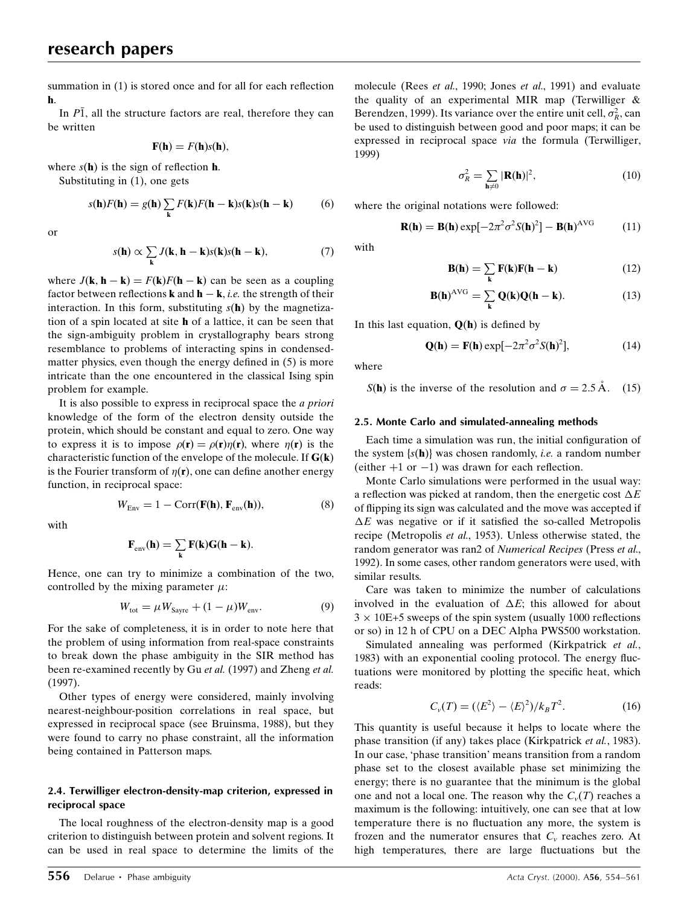summation in  $(1)$  is stored once and for all for each reflection h.

In  $P\overline{1}$ , all the structure factors are real, therefore they can be written

$$
\mathbf{F}(\mathbf{h})=F(\mathbf{h})s(\mathbf{h}),
$$

where  $s(\mathbf{h})$  is the sign of reflection **h**.

Substituting in (1), one gets

$$
s(\mathbf{h})F(\mathbf{h}) = g(\mathbf{h})\sum_{\mathbf{k}} F(\mathbf{k})F(\mathbf{h} - \mathbf{k})s(\mathbf{k})s(\mathbf{h} - \mathbf{k})
$$
 (6)

or

$$
s(\mathbf{h}) \propto \sum_{\mathbf{k}} J(\mathbf{k}, \mathbf{h} - \mathbf{k}) s(\mathbf{k}) s(\mathbf{h} - \mathbf{k}), \tag{7}
$$

where  $J(\mathbf{k}, \mathbf{h} - \mathbf{k}) = F(\mathbf{k})F(\mathbf{h} - \mathbf{k})$  can be seen as a coupling factor between reflections **k** and  $\mathbf{h} - \mathbf{k}$ , *i.e.* the strength of their interaction. In this form, substituting  $s(h)$  by the magnetization of a spin located at site h of a lattice, it can be seen that the sign-ambiguity problem in crystallography bears strong resemblance to problems of interacting spins in condensedmatter physics, even though the energy defined in  $(5)$  is more intricate than the one encountered in the classical Ising spin problem for example.

It is also possible to express in reciprocal space the a priori knowledge of the form of the electron density outside the protein, which should be constant and equal to zero. One way to express it is to impose  $\rho(\mathbf{r}) = \rho(\mathbf{r}) \eta(\mathbf{r})$ , where  $\eta(\mathbf{r})$  is the characteristic function of the envelope of the molecule. If  $G(k)$ is the Fourier transform of  $\eta(\mathbf{r})$ , one can define another energy function, in reciprocal space:

with

$$
\sum_{i=1}^{n} a_i
$$

 $W_{\text{Fav}} = 1 - \text{Corr}(\mathbf{F}(\mathbf{h}), \mathbf{F}_{\text{env}}(\mathbf{h})),$  (8)

$$
F_{\text{env}}(h) = \sum_{k} F(k)G(h - k).
$$

Hence, one can try to minimize a combination of the two, controlled by the mixing parameter  $\mu$ :

$$
W_{\text{tot}} = \mu W_{\text{Sayre}} + (1 - \mu) W_{\text{env}}.\tag{9}
$$

For the sake of completeness, it is in order to note here that the problem of using information from real-space constraints to break down the phase ambiguity in the SIR method has been re-examined recently by Gu et al. (1997) and Zheng et al. (1997).

Other types of energy were considered, mainly involving nearest-neighbour-position correlations in real space, but expressed in reciprocal space (see Bruinsma, 1988), but they were found to carry no phase constraint, all the information being contained in Patterson maps.

## 2.4. Terwilliger electron-density-map criterion, expressed in reciprocal space

The local roughness of the electron-density map is a good criterion to distinguish between protein and solvent regions. It can be used in real space to determine the limits of the molecule (Rees et al., 1990; Jones et al., 1991) and evaluate the quality of an experimental MIR map (Terwilliger & Berendzen, 1999). Its variance over the entire unit cell,  $\sigma_R^2$ , can be used to distinguish between good and poor maps; it can be expressed in reciprocal space via the formula (Terwilliger, 1999)

$$
\sigma_R^2 = \sum_{\mathbf{h}\neq 0} |\mathbf{R}(\mathbf{h})|^2,\tag{10}
$$

where the original notations were followed:

$$
\mathbf{R}(\mathbf{h}) = \mathbf{B}(\mathbf{h}) \exp[-2\pi^2 \sigma^2 S(\mathbf{h})^2] - \mathbf{B}(\mathbf{h})^{\text{AVG}} \tag{11}
$$

with

$$
\mathbf{B}(\mathbf{h}) = \sum_{\mathbf{k}} \mathbf{F}(\mathbf{k}) \mathbf{F}(\mathbf{h} - \mathbf{k}) \tag{12}
$$

$$
\mathbf{B}(\mathbf{h})^{\text{AVG}} = \sum_{\mathbf{k}} \mathbf{Q}(\mathbf{k}) \mathbf{Q}(\mathbf{h} - \mathbf{k}). \tag{13}
$$

In this last equation,  $Q(h)$  is defined by

$$
\mathbf{Q}(\mathbf{h}) = \mathbf{F}(\mathbf{h}) \exp[-2\pi^2 \sigma^2 S(\mathbf{h})^2],\tag{14}
$$

where

 $S(h)$  is the inverse of the resolution and  $\sigma = 2.5 \text{ Å}$ . (15)

#### 2.5. Monte Carlo and simulated-annealing methods

Each time a simulation was run, the initial configuration of the system  $\{s(h)\}\$  was chosen randomly, *i.e.* a random number (either  $+1$  or  $-1$ ) was drawn for each reflection.

Monte Carlo simulations were performed in the usual way: a reflection was picked at random, then the energetic cost  $\Delta E$ of flipping its sign was calculated and the move was accepted if  $\Delta E$  was negative or if it satisfied the so-called Metropolis recipe (Metropolis et al., 1953). Unless otherwise stated, the random generator was ran2 of Numerical Recipes (Press et al., 1992). In some cases, other random generators were used, with similar results.

Care was taken to minimize the number of calculations involved in the evaluation of  $\Delta E$ ; this allowed for about  $3 \times 10E+5$  sweeps of the spin system (usually 1000 reflections or so) in 12 h of CPU on a DEC Alpha PWS500 workstation.

Simulated annealing was performed (Kirkpatrick et al., 1983) with an exponential cooling protocol. The energy fluctuations were monitored by plotting the specific heat, which reads:

$$
C_{\nu}(T) = (\langle E^2 \rangle - \langle E \rangle^2) / k_B T^2. \tag{16}
$$

This quantity is useful because it helps to locate where the phase transition (if any) takes place (Kirkpatrick et al., 1983). In our case, 'phase transition' means transition from a random phase set to the closest available phase set minimizing the energy; there is no guarantee that the minimum is the global one and not a local one. The reason why the  $C_v(T)$  reaches a maximum is the following: intuitively, one can see that at low temperature there is no fluctuation any more, the system is frozen and the numerator ensures that  $C_v$  reaches zero. At high temperatures, there are large fluctuations but the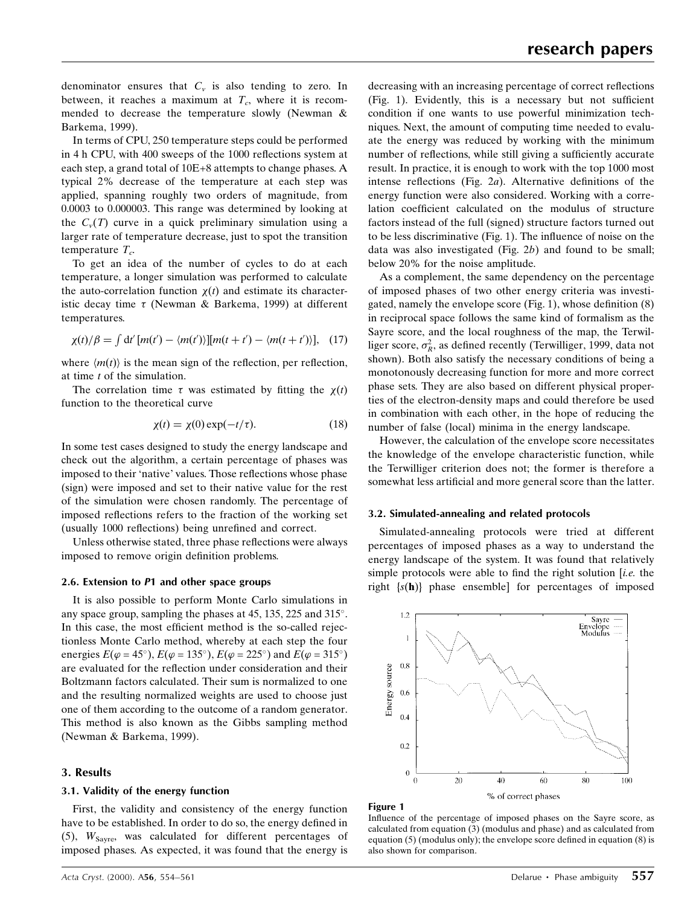denominator ensures that  $C_v$  is also tending to zero. In between, it reaches a maximum at  $T_c$ , where it is recommended to decrease the temperature slowly (Newman & Barkema, 1999).

In terms of CPU, 250 temperature steps could be performed in 4 h CPU, with 400 sweeps of the 1000 reflections system at each step, a grand total of 10E+8 attempts to change phases. A typical 2% decrease of the temperature at each step was applied, spanning roughly two orders of magnitude, from 0.0003 to 0.000003. This range was determined by looking at the  $C_v(T)$  curve in a quick preliminary simulation using a larger rate of temperature decrease, just to spot the transition temperature  $T_c$ .

To get an idea of the number of cycles to do at each temperature, a longer simulation was performed to calculate the auto-correlation function  $\chi(t)$  and estimate its characteristic decay time  $\tau$  (Newman & Barkema, 1999) at different temperatures.

$$
\chi(t)/\beta = \int dt' [m(t') - \langle m(t')\rangle][m(t+t') - \langle m(t+t')\rangle], \quad (17)
$$

where  $\langle m(t) \rangle$  is the mean sign of the reflection, per reflection, at time t of the simulation.

The correlation time  $\tau$  was estimated by fitting the  $\chi(t)$ function to the theoretical curve

$$
\chi(t) = \chi(0) \exp(-t/\tau). \tag{18}
$$

In some test cases designed to study the energy landscape and check out the algorithm, a certain percentage of phases was imposed to their 'native' values. Those reflections whose phase (sign) were imposed and set to their native value for the rest of the simulation were chosen randomly. The percentage of imposed reflections refers to the fraction of the working set (usually 1000 reflections) being unrefined and correct.

Unless otherwise stated, three phase reflections were always imposed to remove origin definition problems.

#### 2.6. Extension to P1 and other space groups

It is also possible to perform Monte Carlo simulations in any space group, sampling the phases at 45, 135, 225 and 315°. In this case, the most efficient method is the so-called rejectionless Monte Carlo method, whereby at each step the four energies  $E(\varphi = 45^{\circ})$ ,  $E(\varphi = 135^{\circ})$ ,  $E(\varphi = 225^{\circ})$  and  $E(\varphi = 315^{\circ})$ are evaluated for the reflection under consideration and their Boltzmann factors calculated. Their sum is normalized to one and the resulting normalized weights are used to choose just one of them according to the outcome of a random generator. This method is also known as the Gibbs sampling method (Newman & Barkema, 1999).

## 3. Results

#### 3.1. Validity of the energy function

First, the validity and consistency of the energy function have to be established. In order to do so, the energy defined in (5),  $W_{\text{Sayre}}$ , was calculated for different percentages of imposed phases. As expected, it was found that the energy is

decreasing with an increasing percentage of correct reflections  $(Fig. 1)$ . Evidently, this is a necessary but not sufficient condition if one wants to use powerful minimization techniques. Next, the amount of computing time needed to evaluate the energy was reduced by working with the minimum number of reflections, while still giving a sufficiently accurate result. In practice, it is enough to work with the top 1000 most intense reflections (Fig.  $2a$ ). Alternative definitions of the energy function were also considered. Working with a correlation coefficient calculated on the modulus of structure factors instead of the full (signed) structure factors turned out to be less discriminative (Fig. 1). The influence of noise on the data was also investigated (Fig.  $2b$ ) and found to be small; below 20% for the noise amplitude.

As a complement, the same dependency on the percentage of imposed phases of two other energy criteria was investigated, namely the envelope score  $(Fig. 1)$ , whose definition  $(8)$ in reciprocal space follows the same kind of formalism as the Sayre score, and the local roughness of the map, the Terwilliger score,  $\sigma_R^2$ , as defined recently (Terwilliger, 1999, data not shown). Both also satisfy the necessary conditions of being a monotonously decreasing function for more and more correct phase sets. They are also based on different physical properties of the electron-density maps and could therefore be used in combination with each other, in the hope of reducing the number of false (local) minima in the energy landscape.

However, the calculation of the envelope score necessitates the knowledge of the envelope characteristic function, while the Terwilliger criterion does not; the former is therefore a somewhat less artificial and more general score than the latter.

## 3.2. Simulated-annealing and related protocols

Simulated-annealing protocols were tried at different percentages of imposed phases as a way to understand the energy landscape of the system. It was found that relatively simple protocols were able to find the right solution  $[i.e.$  the right {s(h)} phase ensemble] for percentages of imposed



#### Figure 1

Influence of the percentage of imposed phases on the Sayre score, as calculated from equation (3) (modulus and phase) and as calculated from equation  $(5)$  (modulus only); the envelope score defined in equation  $(8)$  is also shown for comparison.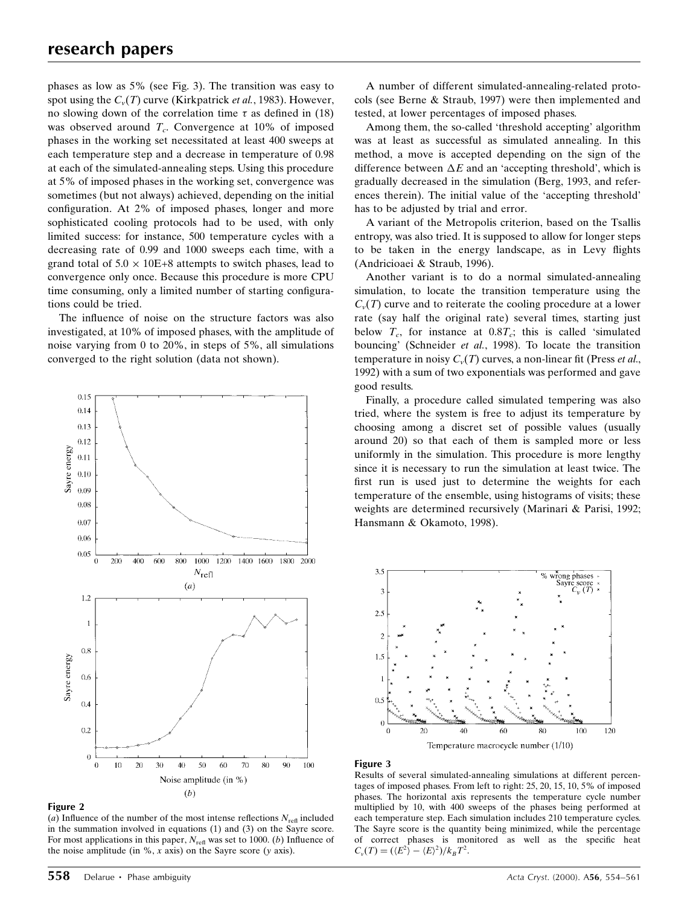phases as low as 5% (see Fig. 3). The transition was easy to spot using the  $C_v(T)$  curve (Kirkpatrick *et al.*, 1983). However, no slowing down of the correlation time  $\tau$  as defined in (18) was observed around  $T_c$ . Convergence at 10% of imposed phases in the working set necessitated at least 400 sweeps at each temperature step and a decrease in temperature of 0.98 at each of the simulated-annealing steps. Using this procedure at 5% of imposed phases in the working set, convergence was sometimes (but not always) achieved, depending on the initial configuration. At 2% of imposed phases, longer and more sophisticated cooling protocols had to be used, with only limited success: for instance, 500 temperature cycles with a decreasing rate of 0.99 and 1000 sweeps each time, with a grand total of  $5.0 \times 10E+8$  attempts to switch phases, lead to convergence only once. Because this procedure is more CPU time consuming, only a limited number of starting configurations could be tried.

The influence of noise on the structure factors was also investigated, at 10% of imposed phases, with the amplitude of noise varying from 0 to 20%, in steps of 5%, all simulations converged to the right solution (data not shown).



Figure 2

(a) Influence of the number of the most intense reflections  $N_{\text{ref}}$  included in the summation involved in equations (1) and (3) on the Sayre score. For most applications in this paper,  $N_{\text{refl}}$  was set to 1000. (b) Influence of the noise amplitude (in  $\%$ , x axis) on the Sayre score (y axis).

A number of different simulated-annealing-related protocols (see Berne & Straub, 1997) were then implemented and tested, at lower percentages of imposed phases.

Among them, the so-called `threshold accepting' algorithm was at least as successful as simulated annealing. In this method, a move is accepted depending on the sign of the difference between  $\Delta E$  and an 'accepting threshold', which is gradually decreased in the simulation (Berg, 1993, and references therein). The initial value of the `accepting threshold' has to be adjusted by trial and error.

A variant of the Metropolis criterion, based on the Tsallis entropy, was also tried. It is supposed to allow for longer steps to be taken in the energy landscape, as in Levy flights (Andricioaei & Straub, 1996).

Another variant is to do a normal simulated-annealing simulation, to locate the transition temperature using the  $C_v(T)$  curve and to reiterate the cooling procedure at a lower rate (say half the original rate) several times, starting just below  $T_c$ , for instance at  $0.8T_c$ ; this is called 'simulated bouncing' (Schneider et al., 1998). To locate the transition temperature in noisy  $C_v(T)$  curves, a non-linear fit (Press *et al.*, 1992) with a sum of two exponentials was performed and gave good results.

Finally, a procedure called simulated tempering was also tried, where the system is free to adjust its temperature by choosing among a discret set of possible values (usually around 20) so that each of them is sampled more or less uniformly in the simulation. This procedure is more lengthy since it is necessary to run the simulation at least twice. The first run is used just to determine the weights for each temperature of the ensemble, using histograms of visits; these weights are determined recursively (Marinari & Parisi, 1992; Hansmann & Okamoto, 1998).



#### Figure 3

Results of several simulated-annealing simulations at different percentages of imposed phases. From left to right: 25, 20, 15, 10, 5% of imposed phases. The horizontal axis represents the temperature cycle number multiplied by 10, with 400 sweeps of the phases being performed at each temperature step. Each simulation includes 210 temperature cycles. The Sayre score is the quantity being minimized, while the percentage of correct phases is monitored as well as the specific heat  $C_v(T) = (\langle E^2 \rangle - \langle E \rangle^2)/k_B T^2$ .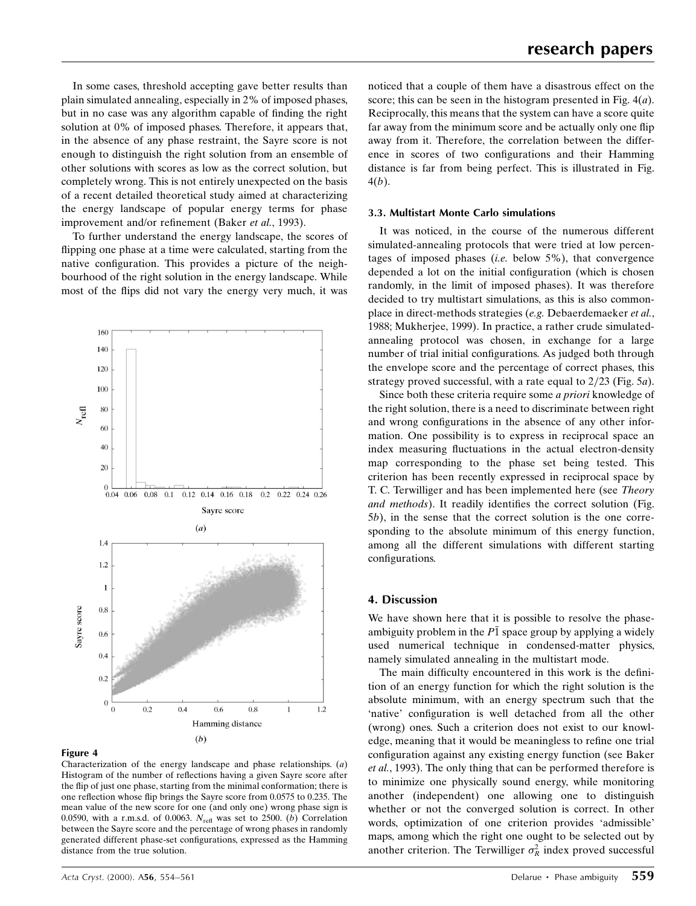In some cases, threshold accepting gave better results than plain simulated annealing, especially in 2% of imposed phases, but in no case was any algorithm capable of finding the right solution at 0% of imposed phases. Therefore, it appears that, in the absence of any phase restraint, the Sayre score is not enough to distinguish the right solution from an ensemble of other solutions with scores as low as the correct solution, but completely wrong. This is not entirely unexpected on the basis of a recent detailed theoretical study aimed at characterizing the energy landscape of popular energy terms for phase improvement and/or refinement (Baker et al., 1993).

To further understand the energy landscape, the scores of flipping one phase at a time were calculated, starting from the native configuration. This provides a picture of the neighbourhood of the right solution in the energy landscape. While most of the flips did not vary the energy very much, it was



#### Figure 4

Characterization of the energy landscape and phase relationships. (a) Histogram of the number of reflections having a given Sayre score after the flip of just one phase, starting from the minimal conformation; there is one reflection whose flip brings the Sayre score from 0.0575 to 0.235. The mean value of the new score for one (and only one) wrong phase sign is 0.0590, with a r.m.s.d. of 0.0063.  $N_{\text{refl}}$  was set to 2500. (b) Correlation between the Sayre score and the percentage of wrong phases in randomly generated different phase-set configurations, expressed as the Hamming distance from the true solution.

noticed that a couple of them have a disastrous effect on the score; this can be seen in the histogram presented in Fig.  $4(a)$ . Reciprocally, this means that the system can have a score quite far away from the minimum score and be actually only one flip away from it. Therefore, the correlation between the difference in scores of two configurations and their Hamming distance is far from being perfect. This is illustrated in Fig. 4(b).

#### 3.3. Multistart Monte Carlo simulations

It was noticed, in the course of the numerous different simulated-annealing protocols that were tried at low percentages of imposed phases (*i.e.* below  $5\%$ ), that convergence depended a lot on the initial configuration (which is chosen randomly, in the limit of imposed phases). It was therefore decided to try multistart simulations, as this is also commonplace in direct-methods strategies (e.g. Debaerdemaeker et al., 1988; Mukherjee, 1999). In practice, a rather crude simulatedannealing protocol was chosen, in exchange for a large number of trial initial configurations. As judged both through the envelope score and the percentage of correct phases, this strategy proved successful, with a rate equal to  $2/23$  (Fig. 5a).

Since both these criteria require some a priori knowledge of the right solution, there is a need to discriminate between right and wrong configurations in the absence of any other information. One possibility is to express in reciprocal space an index measuring fluctuations in the actual electron-density map corresponding to the phase set being tested. This criterion has been recently expressed in reciprocal space by T. C. Terwilliger and has been implemented here (see Theory and methods). It readily identifies the correct solution (Fig. 5b), in the sense that the correct solution is the one corresponding to the absolute minimum of this energy function, among all the different simulations with different starting configurations.

## 4. Discussion

We have shown here that it is possible to resolve the phaseambiguity problem in the  $P\bar{1}$  space group by applying a widely used numerical technique in condensed-matter physics, namely simulated annealing in the multistart mode.

The main difficulty encountered in this work is the definition of an energy function for which the right solution is the absolute minimum, with an energy spectrum such that the 'native' configuration is well detached from all the other (wrong) ones. Such a criterion does not exist to our knowledge, meaning that it would be meaningless to refine one trial configuration against any existing energy function (see Baker et al., 1993). The only thing that can be performed therefore is to minimize one physically sound energy, while monitoring another (independent) one allowing one to distinguish whether or not the converged solution is correct. In other words, optimization of one criterion provides `admissible' maps, among which the right one ought to be selected out by another criterion. The Terwilliger  $\sigma_R^2$  index proved successful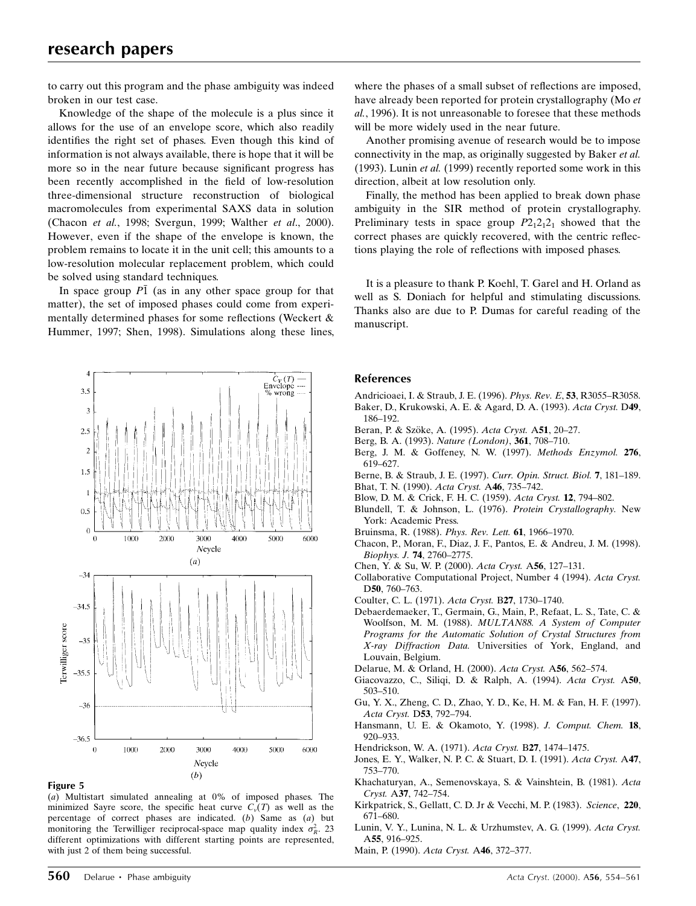to carry out this program and the phase ambiguity was indeed broken in our test case.

Knowledge of the shape of the molecule is a plus since it allows for the use of an envelope score, which also readily identifies the right set of phases. Even though this kind of information is not always available, there is hope that it will be more so in the near future because significant progress has been recently accomplished in the field of low-resolution three-dimensional structure reconstruction of biological macromolecules from experimental SAXS data in solution (Chacon et al., 1998; Svergun, 1999; Walther et al., 2000). However, even if the shape of the envelope is known, the problem remains to locate it in the unit cell; this amounts to a low-resolution molecular replacement problem, which could be solved using standard techniques.

In space group  $P\bar{1}$  (as in any other space group for that matter), the set of imposed phases could come from experimentally determined phases for some reflections (Weckert  $\&$ Hummer, 1997; Shen, 1998). Simulations along these lines,





(a) Multistart simulated annealing at 0% of imposed phases. The minimized Sayre score, the specific heat curve  $C_v(T)$  as well as the percentage of correct phases are indicated. (b) Same as  $(a)$  but monitoring the Terwilliger reciprocal-space map quality index  $\sigma_R^2$ . 23 different optimizations with different starting points are represented, with just 2 of them being successful.

where the phases of a small subset of reflections are imposed, have already been reported for protein crystallography (Mo et al., 1996). It is not unreasonable to foresee that these methods will be more widely used in the near future.

Another promising avenue of research would be to impose connectivity in the map, as originally suggested by Baker et al. (1993). Lunin et al. (1999) recently reported some work in this direction, albeit at low resolution only.

Finally, the method has been applied to break down phase ambiguity in the SIR method of protein crystallography. Preliminary tests in space group  $P2_12_12_1$  showed that the correct phases are quickly recovered, with the centric reflections playing the role of reflections with imposed phases.

It is a pleasure to thank P. Koehl, T. Garel and H. Orland as well as S. Doniach for helpful and stimulating discussions. Thanks also are due to P. Dumas for careful reading of the manuscript.

## References

- Andricioaei, I. & Straub, J. E. (1996). *Phys. Rev. E*, 53, R3055–R3058. Baker, D., Krukowski, A. E. & Agard, D. A. (1993). Acta Cryst. D49, 186±192.
- Beran, P. & Szöke, A. (1995). Acta Cryst. A51, 20-27.
- Berg, B. A. (1993). Nature (London), 361, 708-710.
- Berg, J. M. & Goffeney, N. W. (1997). Methods Enzymol. 276, 619±627.
- Berne, B. & Straub, J. E. (1997). Curr. Opin. Struct. Biol. 7, 181-189. Bhat, T. N. (1990). Acta Cryst. A46, 735-742.
- Blow, D. M. & Crick, F. H. C. (1959). Acta Cryst. 12, 794-802.
- Blundell, T. & Johnson, L. (1976). Protein Crystallography. New York: Academic Press.
- Bruinsma, R. (1988). Phys. Rev. Lett. 61, 1966-1970.
- Chacon, P., Moran, F., Diaz, J. F., Pantos, E. & Andreu, J. M. (1998). Biophys. J. 74, 2760-2775.
- Chen, Y. & Su, W. P. (2000). Acta Cryst. A56, 127-131.
- Collaborative Computational Project, Number 4 (1994). Acta Cryst. D<sub>50</sub>, 760–763.
- Coulter, C. L. (1971). Acta Cryst. B27, 1730-1740.
- Debaerdemaeker, T., Germain, G., Main, P., Refaat, L. S., Tate, C. & Woolfson, M. M. (1988). MULTAN88. A System of Computer Programs for the Automatic Solution of Crystal Structures from X-ray Diffraction Data. Universities of York, England, and Louvain, Belgium.
- Delarue, M. & Orland, H. (2000). Acta Cryst. A56, 562-574.
- Giacovazzo, C., Siliqi, D. & Ralph, A. (1994). Acta Cryst. A50, 503±510.
- Gu, Y. X., Zheng, C. D., Zhao, Y. D., Ke, H. M. & Fan, H. F. (1997). Acta Cryst. D53, 792-794.
- Hansmann, U. E. & Okamoto, Y. (1998). J. Comput. Chem. 18, 920±933.
- Hendrickson, W. A. (1971). Acta Cryst. B27, 1474-1475.
- Jones, E. Y., Walker, N. P. C. & Stuart, D. I. (1991). Acta Cryst. A47, 753±770.
- Khachaturyan, A., Semenovskaya, S. & Vainshtein, B. (1981). Acta Cryst. A37, 742-754.
- Kirkpatrick, S., Gellatt, C. D. Jr & Vecchi, M. P. (1983). Science, 220, 671±680.
- Lunin, V. Y., Lunina, N. L. & Urzhumstev, A. G. (1999). Acta Cryst. A55, 916-925.
- Main, P. (1990). Acta Cryst. A46, 372-377.